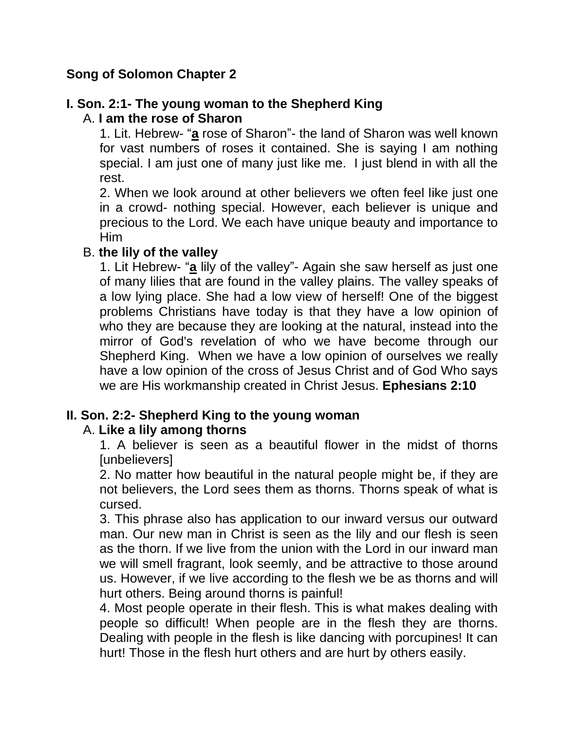## **Song of Solomon Chapter 2**

## **I. Son. 2:1- The young woman to the Shepherd King**

## A. **I am the rose of Sharon**

1. Lit. Hebrew- "**a** rose of Sharon"- the land of Sharon was well known for vast numbers of roses it contained. She is saying I am nothing special. I am just one of many just like me. I just blend in with all the rest.

2. When we look around at other believers we often feel like just one in a crowd- nothing special. However, each believer is unique and precious to the Lord. We each have unique beauty and importance to Him

#### B. **the lily of the valley**

1. Lit Hebrew- "**a** lily of the valley"- Again she saw herself as just one of many lilies that are found in the valley plains. The valley speaks of a low lying place. She had a low view of herself! One of the biggest problems Christians have today is that they have a low opinion of who they are because they are looking at the natural, instead into the mirror of God's revelation of who we have become through our Shepherd King. When we have a low opinion of ourselves we really have a low opinion of the cross of Jesus Christ and of God Who says we are His workmanship created in Christ Jesus. **Ephesians 2:10**

#### **II. Son. 2:2- Shepherd King to the young woman**

#### A. **Like a lily among thorns**

1. A believer is seen as a beautiful flower in the midst of thorns [unbelievers]

2. No matter how beautiful in the natural people might be, if they are not believers, the Lord sees them as thorns. Thorns speak of what is cursed.

3. This phrase also has application to our inward versus our outward man. Our new man in Christ is seen as the lily and our flesh is seen as the thorn. If we live from the union with the Lord in our inward man we will smell fragrant, look seemly, and be attractive to those around us. However, if we live according to the flesh we be as thorns and will hurt others. Being around thorns is painful!

4. Most people operate in their flesh. This is what makes dealing with people so difficult! When people are in the flesh they are thorns. Dealing with people in the flesh is like dancing with porcupines! It can hurt! Those in the flesh hurt others and are hurt by others easily.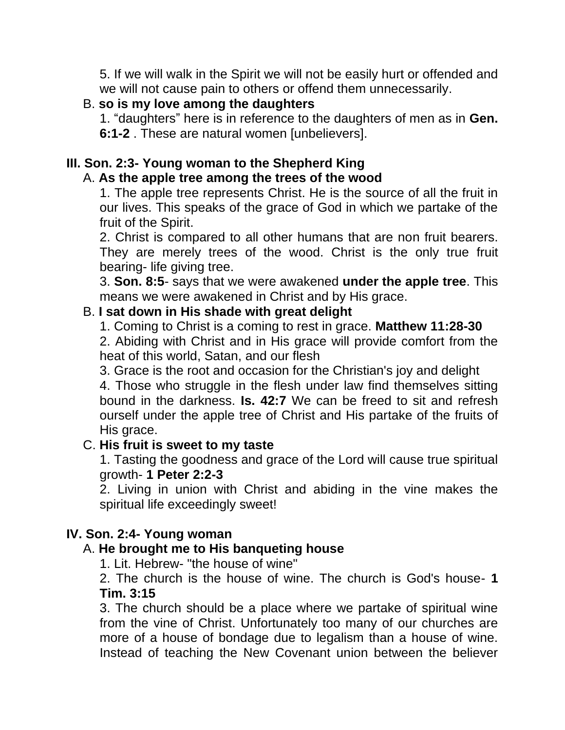5. If we will walk in the Spirit we will not be easily hurt or offended and we will not cause pain to others or offend them unnecessarily.

## B. **so is my love among the daughters**

1. "daughters" here is in reference to the daughters of men as in **Gen. 6:1-2** . These are natural women [unbelievers].

## **III. Son. 2:3- Young woman to the Shepherd King**

#### A. **As the apple tree among the trees of the wood**

1. The apple tree represents Christ. He is the source of all the fruit in our lives. This speaks of the grace of God in which we partake of the fruit of the Spirit.

2. Christ is compared to all other humans that are non fruit bearers. They are merely trees of the wood. Christ is the only true fruit bearing- life giving tree.

3. **Son. 8:5**- says that we were awakened **under the apple tree**. This means we were awakened in Christ and by His grace.

#### B. **I sat down in His shade with great delight**

1. Coming to Christ is a coming to rest in grace. **Matthew 11:28-30**

2. Abiding with Christ and in His grace will provide comfort from the heat of this world, Satan, and our flesh

3. Grace is the root and occasion for the Christian's joy and delight

4. Those who struggle in the flesh under law find themselves sitting bound in the darkness. **Is. 42:7** We can be freed to sit and refresh ourself under the apple tree of Christ and His partake of the fruits of His grace.

#### C. **His fruit is sweet to my taste**

1. Tasting the goodness and grace of the Lord will cause true spiritual growth- **1 Peter 2:2-3**

2. Living in union with Christ and abiding in the vine makes the spiritual life exceedingly sweet!

#### **IV. Son. 2:4- Young woman**

#### A. **He brought me to His banqueting house**

1. Lit. Hebrew- "the house of wine"

2. The church is the house of wine. The church is God's house- **1 Tim. 3:15**

3. The church should be a place where we partake of spiritual wine from the vine of Christ. Unfortunately too many of our churches are more of a house of bondage due to legalism than a house of wine. Instead of teaching the New Covenant union between the believer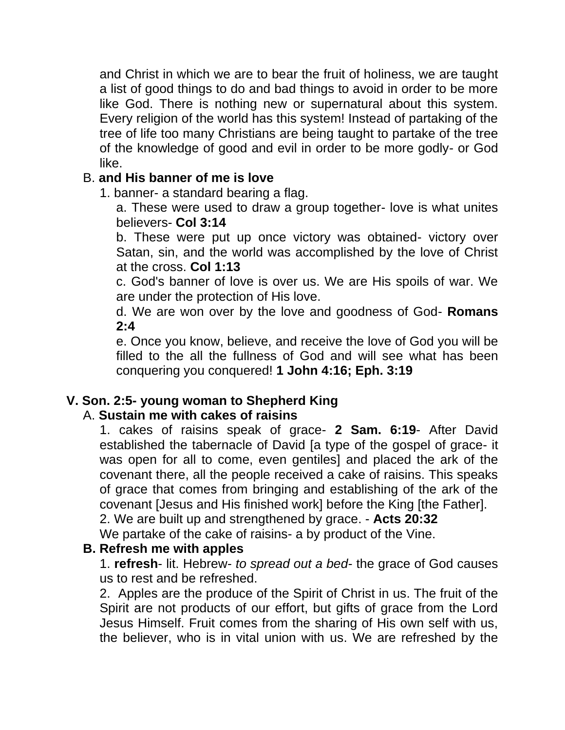and Christ in which we are to bear the fruit of holiness, we are taught a list of good things to do and bad things to avoid in order to be more like God. There is nothing new or supernatural about this system. Every religion of the world has this system! Instead of partaking of the tree of life too many Christians are being taught to partake of the tree of the knowledge of good and evil in order to be more godly- or God like.

## B. **and His banner of me is love**

1. banner- a standard bearing a flag.

a. These were used to draw a group together- love is what unites believers- **Col 3:14**

b. These were put up once victory was obtained- victory over Satan, sin, and the world was accomplished by the love of Christ at the cross. **Col 1:13**

c. God's banner of love is over us. We are His spoils of war. We are under the protection of His love.

d. We are won over by the love and goodness of God- **Romans 2:4**

e. Once you know, believe, and receive the love of God you will be filled to the all the fullness of God and will see what has been conquering you conquered! **1 John 4:16; Eph. 3:19**

## **V. Son. 2:5- young woman to Shepherd King**

#### A. **Sustain me with cakes of raisins**

1. cakes of raisins speak of grace- **2 Sam. 6:19**- After David established the tabernacle of David [a type of the gospel of grace- it was open for all to come, even gentiles] and placed the ark of the covenant there, all the people received a cake of raisins. This speaks of grace that comes from bringing and establishing of the ark of the covenant [Jesus and His finished work] before the King [the Father].

2. We are built up and strengthened by grace. - **Acts 20:32**

We partake of the cake of raisins- a by product of the Vine.

#### **B. Refresh me with apples**

1. **refresh**- lit. Hebrew- *to spread out a bed*- the grace of God causes us to rest and be refreshed.

2. Apples are the produce of the Spirit of Christ in us. The fruit of the Spirit are not products of our effort, but gifts of grace from the Lord Jesus Himself. Fruit comes from the sharing of His own self with us, the believer, who is in vital union with us. We are refreshed by the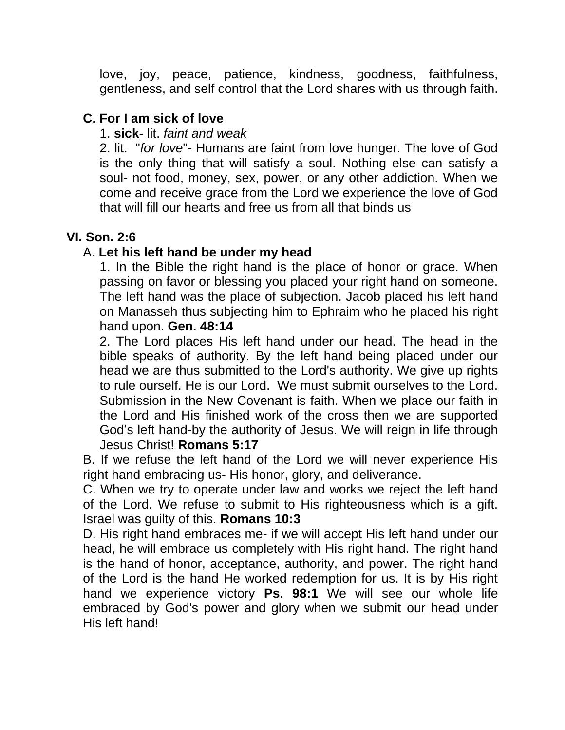love, joy, peace, patience, kindness, goodness, faithfulness, gentleness, and self control that the Lord shares with us through faith.

## **C. For I am sick of love**

#### 1. **sick**- lit. *faint and weak*

2. lit. "*for love*"- Humans are faint from love hunger. The love of God is the only thing that will satisfy a soul. Nothing else can satisfy a soul- not food, money, sex, power, or any other addiction. When we come and receive grace from the Lord we experience the love of God that will fill our hearts and free us from all that binds us

## **VI. Son. 2:6**

## A. **Let his left hand be under my head**

1. In the Bible the right hand is the place of honor or grace. When passing on favor or blessing you placed your right hand on someone. The left hand was the place of subjection. Jacob placed his left hand on Manasseh thus subjecting him to Ephraim who he placed his right hand upon. **Gen. 48:14**

2. The Lord places His left hand under our head. The head in the bible speaks of authority. By the left hand being placed under our head we are thus submitted to the Lord's authority. We give up rights to rule ourself. He is our Lord. We must submit ourselves to the Lord. Submission in the New Covenant is faith. When we place our faith in the Lord and His finished work of the cross then we are supported God's left hand-by the authority of Jesus. We will reign in life through Jesus Christ! **Romans 5:17**

B. If we refuse the left hand of the Lord we will never experience His right hand embracing us- His honor, glory, and deliverance.

C. When we try to operate under law and works we reject the left hand of the Lord. We refuse to submit to His righteousness which is a gift. Israel was guilty of this. **Romans 10:3**

D. His right hand embraces me- if we will accept His left hand under our head, he will embrace us completely with His right hand. The right hand is the hand of honor, acceptance, authority, and power. The right hand of the Lord is the hand He worked redemption for us. It is by His right hand we experience victory **Ps. 98:1** We will see our whole life embraced by God's power and glory when we submit our head under His left hand!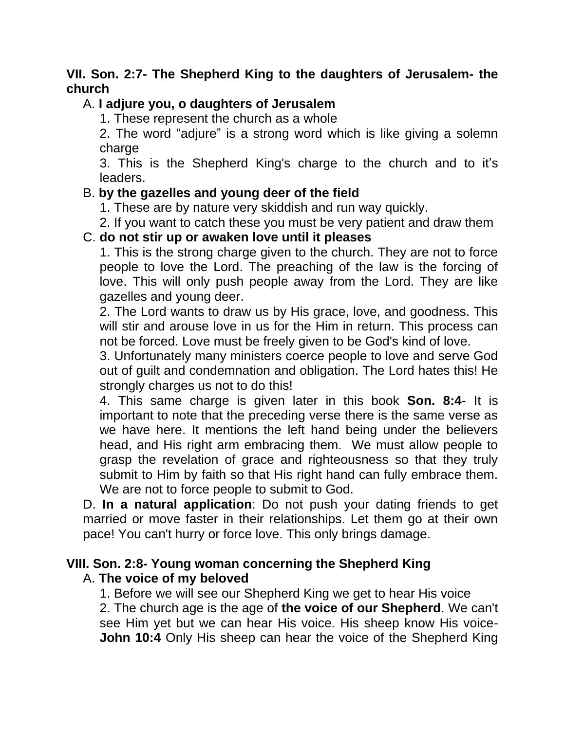## **VII. Son. 2:7- The Shepherd King to the daughters of Jerusalem- the church**

## A. **I adjure you, o daughters of Jerusalem**

1. These represent the church as a whole

2. The word "adjure" is a strong word which is like giving a solemn charge

3. This is the Shepherd King's charge to the church and to it's leaders.

## B. **by the gazelles and young deer of the field**

- 1. These are by nature very skiddish and run way quickly.
- 2. If you want to catch these you must be very patient and draw them

## C. **do not stir up or awaken love until it pleases**

1. This is the strong charge given to the church. They are not to force people to love the Lord. The preaching of the law is the forcing of love. This will only push people away from the Lord. They are like gazelles and young deer.

2. The Lord wants to draw us by His grace, love, and goodness. This will stir and arouse love in us for the Him in return. This process can not be forced. Love must be freely given to be God's kind of love.

3. Unfortunately many ministers coerce people to love and serve God out of guilt and condemnation and obligation. The Lord hates this! He strongly charges us not to do this!

4. This same charge is given later in this book **Son. 8:4**- It is important to note that the preceding verse there is the same verse as we have here. It mentions the left hand being under the believers head, and His right arm embracing them. We must allow people to grasp the revelation of grace and righteousness so that they truly submit to Him by faith so that His right hand can fully embrace them. We are not to force people to submit to God.

D. **In a natural application**: Do not push your dating friends to get married or move faster in their relationships. Let them go at their own pace! You can't hurry or force love. This only brings damage.

#### **VIII. Son. 2:8- Young woman concerning the Shepherd King** A. **The voice of my beloved**

1. Before we will see our Shepherd King we get to hear His voice

2. The church age is the age of **the voice of our Shepherd**. We can't see Him yet but we can hear His voice. His sheep know His voice-**John 10:4** Only His sheep can hear the voice of the Shepherd King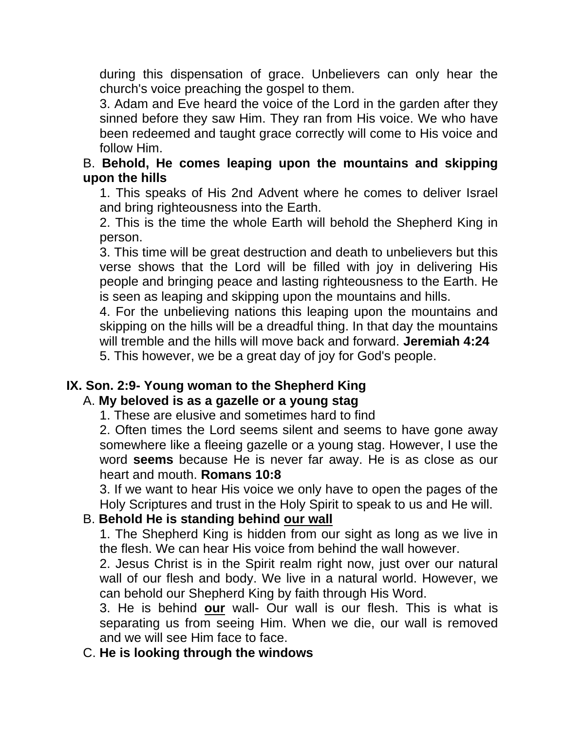during this dispensation of grace. Unbelievers can only hear the church's voice preaching the gospel to them.

3. Adam and Eve heard the voice of the Lord in the garden after they sinned before they saw Him. They ran from His voice. We who have been redeemed and taught grace correctly will come to His voice and follow Him.

## B. **Behold, He comes leaping upon the mountains and skipping upon the hills**

1. This speaks of His 2nd Advent where he comes to deliver Israel and bring righteousness into the Earth.

2. This is the time the whole Earth will behold the Shepherd King in person.

3. This time will be great destruction and death to unbelievers but this verse shows that the Lord will be filled with joy in delivering His people and bringing peace and lasting righteousness to the Earth. He is seen as leaping and skipping upon the mountains and hills.

4. For the unbelieving nations this leaping upon the mountains and skipping on the hills will be a dreadful thing. In that day the mountains will tremble and the hills will move back and forward. **Jeremiah 4:24** 5. This however, we be a great day of joy for God's people.

#### **IX. Son. 2:9- Young woman to the Shepherd King**

## A. **My beloved is as a gazelle or a young stag**

1. These are elusive and sometimes hard to find

2. Often times the Lord seems silent and seems to have gone away somewhere like a fleeing gazelle or a young stag. However, I use the word **seems** because He is never far away. He is as close as our heart and mouth. **Romans 10:8**

3. If we want to hear His voice we only have to open the pages of the Holy Scriptures and trust in the Holy Spirit to speak to us and He will.

## B. **Behold He is standing behind our wall**

1. The Shepherd King is hidden from our sight as long as we live in the flesh. We can hear His voice from behind the wall however.

2. Jesus Christ is in the Spirit realm right now, just over our natural wall of our flesh and body. We live in a natural world. However, we can behold our Shepherd King by faith through His Word.

3. He is behind **our** wall- Our wall is our flesh. This is what is separating us from seeing Him. When we die, our wall is removed and we will see Him face to face.

#### C. **He is looking through the windows**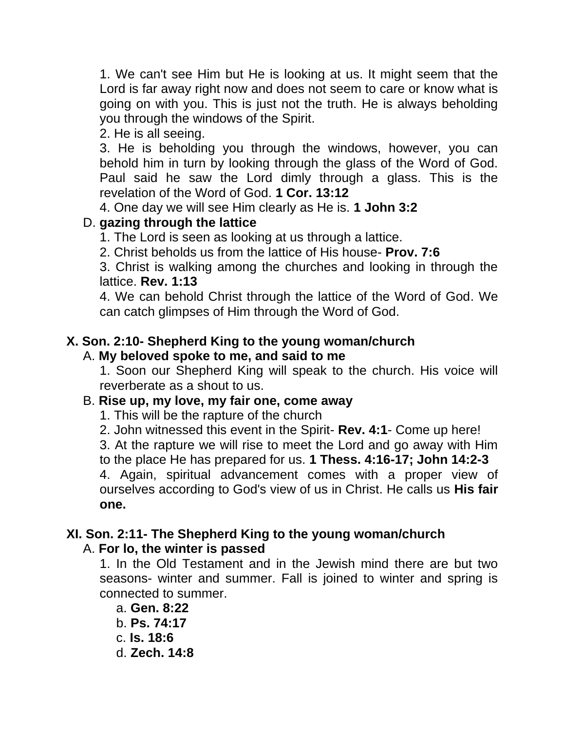1. We can't see Him but He is looking at us. It might seem that the Lord is far away right now and does not seem to care or know what is going on with you. This is just not the truth. He is always beholding you through the windows of the Spirit.

2. He is all seeing.

3. He is beholding you through the windows, however, you can behold him in turn by looking through the glass of the Word of God. Paul said he saw the Lord dimly through a glass. This is the revelation of the Word of God. **1 Cor. 13:12**

4. One day we will see Him clearly as He is. **1 John 3:2**

## D. **gazing through the lattice**

1. The Lord is seen as looking at us through a lattice.

2. Christ beholds us from the lattice of His house- **Prov. 7:6**

3. Christ is walking among the churches and looking in through the lattice. **Rev. 1:13**

4. We can behold Christ through the lattice of the Word of God. We can catch glimpses of Him through the Word of God.

## **X. Son. 2:10- Shepherd King to the young woman/church**

## A. **My beloved spoke to me, and said to me**

1. Soon our Shepherd King will speak to the church. His voice will reverberate as a shout to us.

## B. **Rise up, my love, my fair one, come away**

1. This will be the rapture of the church

2. John witnessed this event in the Spirit- **Rev. 4:1**- Come up here!

3. At the rapture we will rise to meet the Lord and go away with Him to the place He has prepared for us. **1 Thess. 4:16-17; John 14:2-3**

4. Again, spiritual advancement comes with a proper view of ourselves according to God's view of us in Christ. He calls us **His fair one.** 

# **XI. Son. 2:11- The Shepherd King to the young woman/church**

## A. **For lo, the winter is passed**

1. In the Old Testament and in the Jewish mind there are but two seasons- winter and summer. Fall is joined to winter and spring is connected to summer.

a. **Gen. 8:22** b. **Ps. 74:17** c. **Is. 18:6** d. **Zech. 14:8**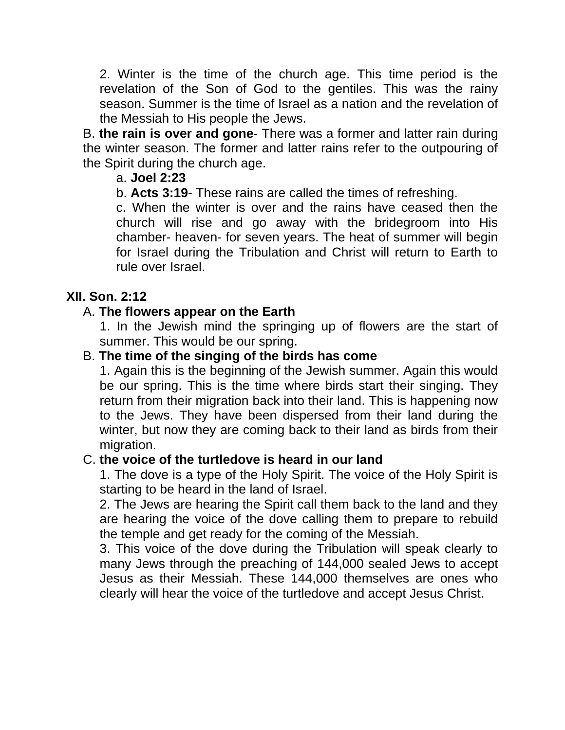2. Winter is the time of the church age. This time period is the revelation of the Son of God to the gentiles. This was the rainy season. Summer is the time of Israel as a nation and the revelation of the Messiah to His people the Jews.

B. **the rain is over and gone**- There was a former and latter rain during the winter season. The former and latter rains refer to the outpouring of the Spirit during the church age.

## a. **Joel 2:23**

b. **Acts 3:19**- These rains are called the times of refreshing.

c. When the winter is over and the rains have ceased then the church will rise and go away with the bridegroom into His chamber- heaven- for seven years. The heat of summer will begin for Israel during the Tribulation and Christ will return to Earth to rule over Israel.

## **XII. Son. 2:12**

## A. **The flowers appear on the Earth**

1. In the Jewish mind the springing up of flowers are the start of summer. This would be our spring.

## B. **The time of the singing of the birds has come**

1. Again this is the beginning of the Jewish summer. Again this would be our spring. This is the time where birds start their singing. They return from their migration back into their land. This is happening now to the Jews. They have been dispersed from their land during the winter, but now they are coming back to their land as birds from their migration.

#### C. **the voice of the turtledove is heard in our land**

1. The dove is a type of the Holy Spirit. The voice of the Holy Spirit is starting to be heard in the land of Israel.

2. The Jews are hearing the Spirit call them back to the land and they are hearing the voice of the dove calling them to prepare to rebuild the temple and get ready for the coming of the Messiah.

3. This voice of the dove during the Tribulation will speak clearly to many Jews through the preaching of 144,000 sealed Jews to accept Jesus as their Messiah. These 144,000 themselves are ones who clearly will hear the voice of the turtledove and accept Jesus Christ.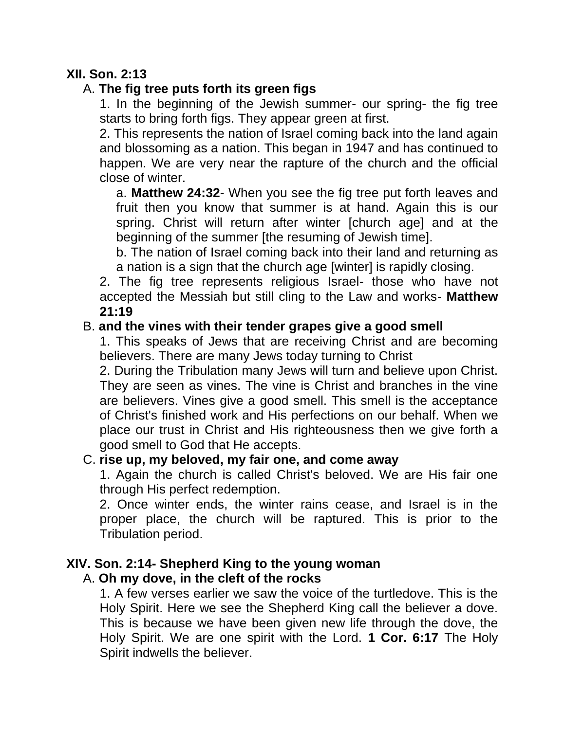## **XII. Son. 2:13**

## A. **The fig tree puts forth its green figs**

1. In the beginning of the Jewish summer- our spring- the fig tree starts to bring forth figs. They appear green at first.

2. This represents the nation of Israel coming back into the land again and blossoming as a nation. This began in 1947 and has continued to happen. We are very near the rapture of the church and the official close of winter.

a. **Matthew 24:32**- When you see the fig tree put forth leaves and fruit then you know that summer is at hand. Again this is our spring. Christ will return after winter [church age] and at the beginning of the summer [the resuming of Jewish time].

b. The nation of Israel coming back into their land and returning as a nation is a sign that the church age [winter] is rapidly closing.

2. The fig tree represents religious Israel- those who have not accepted the Messiah but still cling to the Law and works- **Matthew 21:19**

## B. **and the vines with their tender grapes give a good smell**

1. This speaks of Jews that are receiving Christ and are becoming believers. There are many Jews today turning to Christ

2. During the Tribulation many Jews will turn and believe upon Christ. They are seen as vines. The vine is Christ and branches in the vine are believers. Vines give a good smell. This smell is the acceptance of Christ's finished work and His perfections on our behalf. When we place our trust in Christ and His righteousness then we give forth a good smell to God that He accepts.

#### C. **rise up, my beloved, my fair one, and come away**

1. Again the church is called Christ's beloved. We are His fair one through His perfect redemption.

2. Once winter ends, the winter rains cease, and Israel is in the proper place, the church will be raptured. This is prior to the Tribulation period.

# **XIV. Son. 2:14- Shepherd King to the young woman**

#### A. **Oh my dove, in the cleft of the rocks**

1. A few verses earlier we saw the voice of the turtledove. This is the Holy Spirit. Here we see the Shepherd King call the believer a dove. This is because we have been given new life through the dove, the Holy Spirit. We are one spirit with the Lord. **1 Cor. 6:17** The Holy Spirit indwells the believer.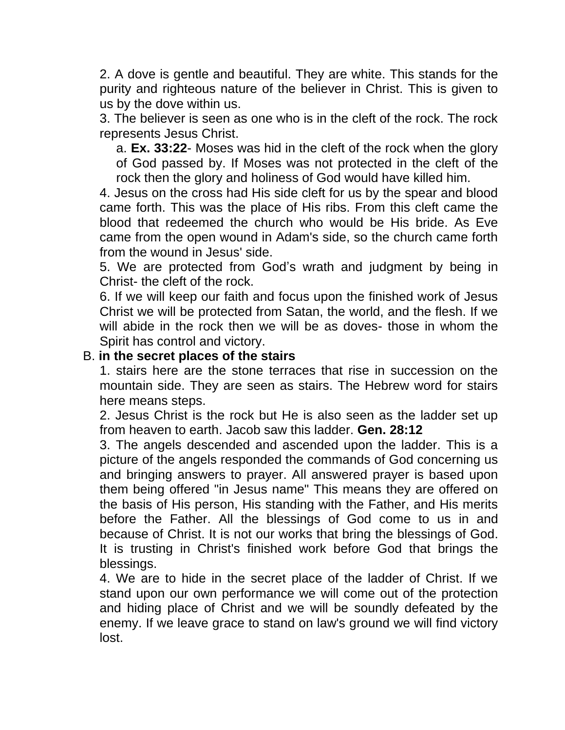2. A dove is gentle and beautiful. They are white. This stands for the purity and righteous nature of the believer in Christ. This is given to us by the dove within us.

3. The believer is seen as one who is in the cleft of the rock. The rock represents Jesus Christ.

a. **Ex. 33:22**- Moses was hid in the cleft of the rock when the glory of God passed by. If Moses was not protected in the cleft of the rock then the glory and holiness of God would have killed him.

4. Jesus on the cross had His side cleft for us by the spear and blood came forth. This was the place of His ribs. From this cleft came the blood that redeemed the church who would be His bride. As Eve came from the open wound in Adam's side, so the church came forth from the wound in Jesus' side.

5. We are protected from God's wrath and judgment by being in Christ- the cleft of the rock.

6. If we will keep our faith and focus upon the finished work of Jesus Christ we will be protected from Satan, the world, and the flesh. If we will abide in the rock then we will be as doves- those in whom the Spirit has control and victory.

#### B. **in the secret places of the stairs**

1. stairs here are the stone terraces that rise in succession on the mountain side. They are seen as stairs. The Hebrew word for stairs here means steps.

2. Jesus Christ is the rock but He is also seen as the ladder set up from heaven to earth. Jacob saw this ladder. **Gen. 28:12**

3. The angels descended and ascended upon the ladder. This is a picture of the angels responded the commands of God concerning us and bringing answers to prayer. All answered prayer is based upon them being offered "in Jesus name" This means they are offered on the basis of His person, His standing with the Father, and His merits before the Father. All the blessings of God come to us in and because of Christ. It is not our works that bring the blessings of God. It is trusting in Christ's finished work before God that brings the blessings.

4. We are to hide in the secret place of the ladder of Christ. If we stand upon our own performance we will come out of the protection and hiding place of Christ and we will be soundly defeated by the enemy. If we leave grace to stand on law's ground we will find victory lost.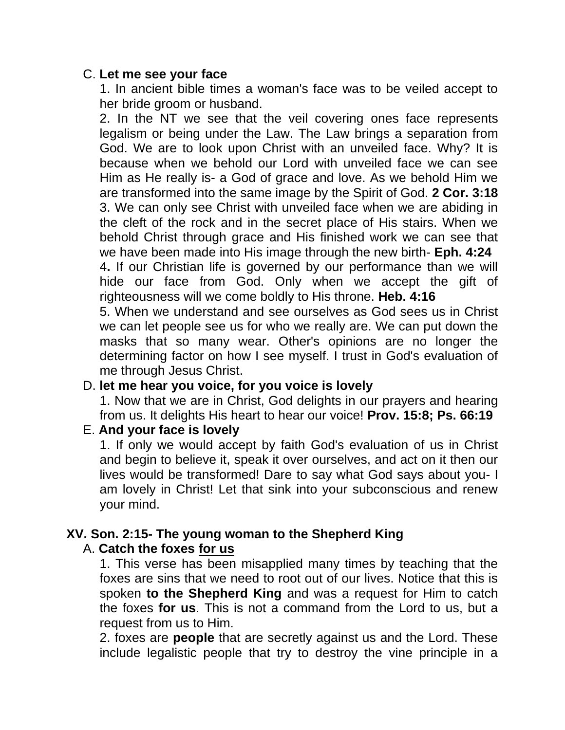#### C. **Let me see your face**

1. In ancient bible times a woman's face was to be veiled accept to her bride groom or husband.

2. In the NT we see that the veil covering ones face represents legalism or being under the Law. The Law brings a separation from God. We are to look upon Christ with an unveiled face. Why? It is because when we behold our Lord with unveiled face we can see Him as He really is- a God of grace and love. As we behold Him we are transformed into the same image by the Spirit of God. **2 Cor. 3:18** 3. We can only see Christ with unveiled face when we are abiding in the cleft of the rock and in the secret place of His stairs. When we behold Christ through grace and His finished work we can see that we have been made into His image through the new birth- **Eph. 4:24**

4**.** If our Christian life is governed by our performance than we will hide our face from God. Only when we accept the gift of righteousness will we come boldly to His throne. **Heb. 4:16**

5. When we understand and see ourselves as God sees us in Christ we can let people see us for who we really are. We can put down the masks that so many wear. Other's opinions are no longer the determining factor on how I see myself. I trust in God's evaluation of me through Jesus Christ.

#### D. **let me hear you voice, for you voice is lovely**

1. Now that we are in Christ, God delights in our prayers and hearing from us. It delights His heart to hear our voice! **Prov. 15:8; Ps. 66:19**

#### E. **And your face is lovely**

1. If only we would accept by faith God's evaluation of us in Christ and begin to believe it, speak it over ourselves, and act on it then our lives would be transformed! Dare to say what God says about you- I am lovely in Christ! Let that sink into your subconscious and renew your mind.

## **XV. Son. 2:15- The young woman to the Shepherd King**

#### A. **Catch the foxes for us**

1. This verse has been misapplied many times by teaching that the foxes are sins that we need to root out of our lives. Notice that this is spoken **to the Shepherd King** and was a request for Him to catch the foxes **for us**. This is not a command from the Lord to us, but a request from us to Him.

2. foxes are **people** that are secretly against us and the Lord. These include legalistic people that try to destroy the vine principle in a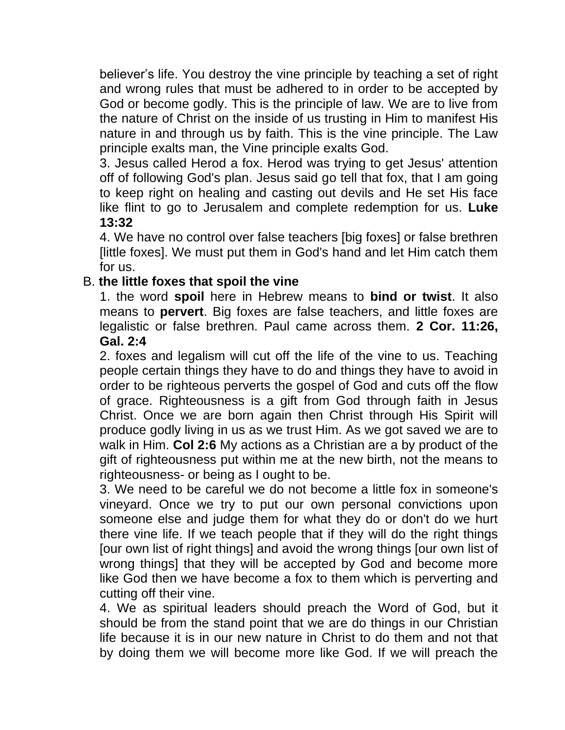believer's life. You destroy the vine principle by teaching a set of right and wrong rules that must be adhered to in order to be accepted by God or become godly. This is the principle of law. We are to live from the nature of Christ on the inside of us trusting in Him to manifest His nature in and through us by faith. This is the vine principle. The Law principle exalts man, the Vine principle exalts God.

3. Jesus called Herod a fox. Herod was trying to get Jesus' attention off of following God's plan. Jesus said go tell that fox, that I am going to keep right on healing and casting out devils and He set His face like flint to go to Jerusalem and complete redemption for us. **Luke 13:32**

4. We have no control over false teachers [big foxes] or false brethren [little foxes]. We must put them in God's hand and let Him catch them for us.

## B. **the little foxes that spoil the vine**

1. the word **spoil** here in Hebrew means to **bind or twist**. It also means to **pervert**. Big foxes are false teachers, and little foxes are legalistic or false brethren. Paul came across them. **2 Cor. 11:26, Gal. 2:4**

2. foxes and legalism will cut off the life of the vine to us. Teaching people certain things they have to do and things they have to avoid in order to be righteous perverts the gospel of God and cuts off the flow of grace. Righteousness is a gift from God through faith in Jesus Christ. Once we are born again then Christ through His Spirit will produce godly living in us as we trust Him. As we got saved we are to walk in Him. **Col 2:6** My actions as a Christian are a by product of the gift of righteousness put within me at the new birth, not the means to righteousness- or being as I ought to be.

3. We need to be careful we do not become a little fox in someone's vineyard. Once we try to put our own personal convictions upon someone else and judge them for what they do or don't do we hurt there vine life. If we teach people that if they will do the right things [our own list of right things] and avoid the wrong things [our own list of wrong things] that they will be accepted by God and become more like God then we have become a fox to them which is perverting and cutting off their vine.

4. We as spiritual leaders should preach the Word of God, but it should be from the stand point that we are do things in our Christian life because it is in our new nature in Christ to do them and not that by doing them we will become more like God. If we will preach the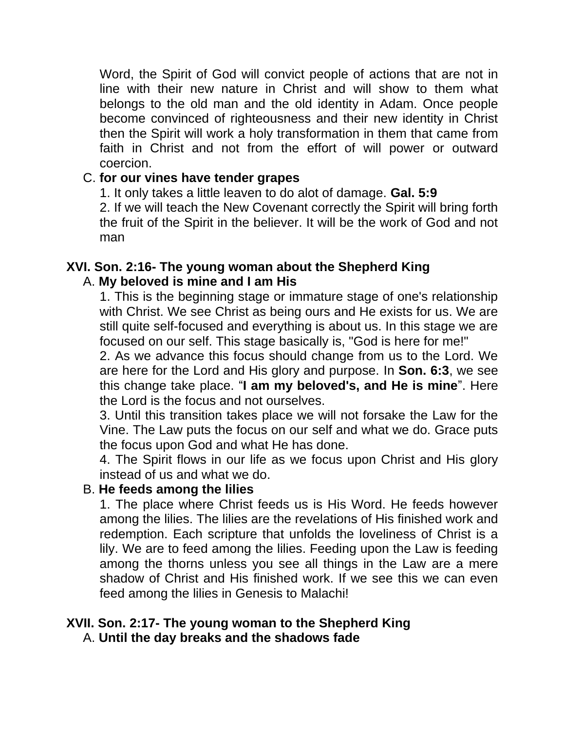Word, the Spirit of God will convict people of actions that are not in line with their new nature in Christ and will show to them what belongs to the old man and the old identity in Adam. Once people become convinced of righteousness and their new identity in Christ then the Spirit will work a holy transformation in them that came from faith in Christ and not from the effort of will power or outward coercion.

#### C. **for our vines have tender grapes**

1. It only takes a little leaven to do alot of damage. **Gal. 5:9** 2. If we will teach the New Covenant correctly the Spirit will bring forth the fruit of the Spirit in the believer. It will be the work of God and not man

## **XVI. Son. 2:16- The young woman about the Shepherd King** A. **My beloved is mine and I am His**

1. This is the beginning stage or immature stage of one's relationship with Christ. We see Christ as being ours and He exists for us. We are still quite self-focused and everything is about us. In this stage we are focused on our self. This stage basically is, "God is here for me!"

2. As we advance this focus should change from us to the Lord. We are here for the Lord and His glory and purpose. In **Son. 6:3**, we see this change take place. "**I am my beloved's, and He is mine**". Here the Lord is the focus and not ourselves.

3. Until this transition takes place we will not forsake the Law for the Vine. The Law puts the focus on our self and what we do. Grace puts the focus upon God and what He has done.

4. The Spirit flows in our life as we focus upon Christ and His glory instead of us and what we do.

#### B. **He feeds among the lilies**

1. The place where Christ feeds us is His Word. He feeds however among the lilies. The lilies are the revelations of His finished work and redemption. Each scripture that unfolds the loveliness of Christ is a lily. We are to feed among the lilies. Feeding upon the Law is feeding among the thorns unless you see all things in the Law are a mere shadow of Christ and His finished work. If we see this we can even feed among the lilies in Genesis to Malachi!

#### **XVII. Son. 2:17- The young woman to the Shepherd King** A. **Until the day breaks and the shadows fade**